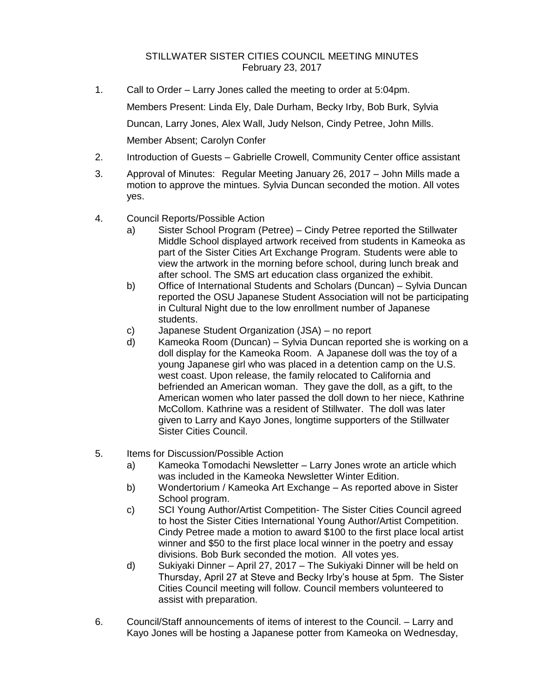## STILLWATER SISTER CITIES COUNCIL MEETING MINUTES February 23, 2017

- 1. Call to Order Larry Jones called the meeting to order at 5:04pm. Members Present: Linda Ely, Dale Durham, Becky Irby, Bob Burk, Sylvia Duncan, Larry Jones, Alex Wall, Judy Nelson, Cindy Petree, John Mills. Member Absent; Carolyn Confer
- 2. Introduction of Guests Gabrielle Crowell, Community Center office assistant
- 3. Approval of Minutes: Regular Meeting January 26, 2017 John Mills made a motion to approve the mintues. Sylvia Duncan seconded the motion. All votes yes.
- 4. Council Reports/Possible Action
	- a) Sister School Program (Petree) Cindy Petree reported the Stillwater Middle School displayed artwork received from students in Kameoka as part of the Sister Cities Art Exchange Program. Students were able to view the artwork in the morning before school, during lunch break and after school. The SMS art education class organized the exhibit.
	- b) Office of International Students and Scholars (Duncan) Sylvia Duncan reported the OSU Japanese Student Association will not be participating in Cultural Night due to the low enrollment number of Japanese students.
	- c) Japanese Student Organization (JSA) no report
	- d) Kameoka Room (Duncan) Sylvia Duncan reported she is working on a doll display for the Kameoka Room. A Japanese doll was the toy of a young Japanese girl who was placed in a detention camp on the U.S. west coast. Upon release, the family relocated to California and befriended an American woman. They gave the doll, as a gift, to the American women who later passed the doll down to her niece, Kathrine McCollom. Kathrine was a resident of Stillwater. The doll was later given to Larry and Kayo Jones, longtime supporters of the Stillwater Sister Cities Council.
- 5. Items for Discussion/Possible Action
	- a) Kameoka Tomodachi Newsletter Larry Jones wrote an article which was included in the Kameoka Newsletter Winter Edition.
	- b) Wondertorium / Kameoka Art Exchange As reported above in Sister School program.
	- c) SCI Young Author/Artist Competition- The Sister Cities Council agreed to host the Sister Cities International Young Author/Artist Competition. Cindy Petree made a motion to award \$100 to the first place local artist winner and \$50 to the first place local winner in the poetry and essay divisions. Bob Burk seconded the motion. All votes yes.
	- d) Sukiyaki Dinner April 27, 2017 The Sukiyaki Dinner will be held on Thursday, April 27 at Steve and Becky Irby's house at 5pm. The Sister Cities Council meeting will follow. Council members volunteered to assist with preparation.
- 6. Council/Staff announcements of items of interest to the Council. Larry and Kayo Jones will be hosting a Japanese potter from Kameoka on Wednesday,